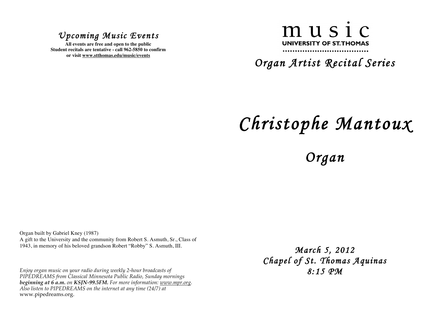## *Upcoming Music Events*

**All events are free and open to the public Student recitals are tentative - call 962-5850 to confirm or visit www.stthomas.edu/music/events**

## music UNIVERSITY OF ST. THOMAS

*Organ Artist Recital Series* 

## *Christophe Mantoux*

## *Organ*

Organ built by Gabriel Kney (1987) A gift to the University and the community from Robert S. Asmuth, Sr., Class of 1943, in memory of his beloved grandson Robert "Robby" S. Asmuth, III.

*Enjoy organ music on your radio during weekly 2-hour broadcasts of PIPEDREAMS from Classical Minnesota Public Radio, Sunday mornings beginning at 6 a.m. on KSJN-99.5FM. For more information: www.mpr.org. Also listen to PIPEDREAMS on the internet at any time (24/7) at*  www.pipedreams.org.

*March 5, 2012 Chapel of St. Thomas Aquinas 8:15 PM*